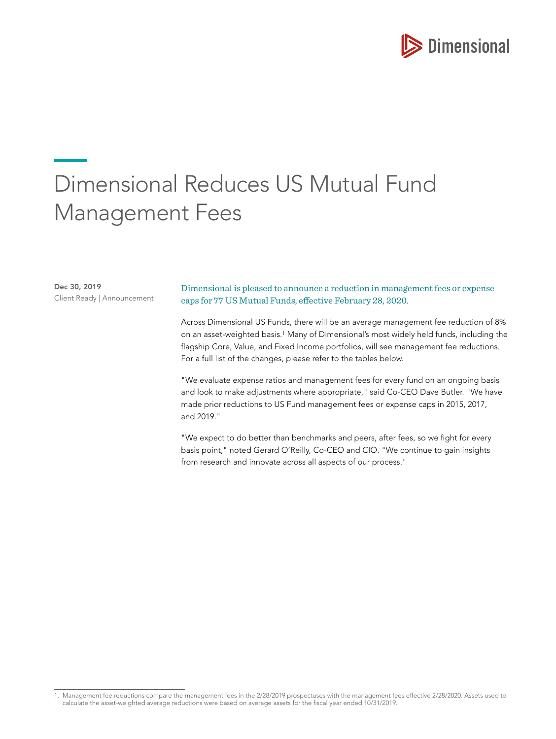

# Dimensional Reduces US Mutual Fund Management Fees

Dec 30, 2019 Client Ready | Announcement

## Dimensional is pleased to announce a reduction in management fees or expense caps for 77 US Mutual Funds, effective February 28, 2020.

Across Dimensional US Funds, there will be an average management fee reduction of 8% on an asset-weighted basis.1 Many of Dimensional's most widely held funds, including the flagship Core, Value, and Fixed Income portfolios, will see management fee reductions. For a full list of the changes, please refer to the tables below.

"We evaluate expense ratios and management fees for every fund on an ongoing basis and look to make adjustments where appropriate," said Co-CEO Dave Butler. "We have made prior reductions to US Fund management fees or expense caps in 2015, 2017, and 2019."

"We expect to do better than benchmarks and peers, after fees, so we fight for every basis point," noted Gerard O'Reilly, Co-CEO and CIO. "We continue to gain insights from research and innovate across all aspects of our process."

<sup>1.</sup> Management fee reductions compare the management fees in the 2/28/2019 prospectuses with the management fees effective 2/28/2020. Assets used to calculate the asset-weighted average reductions were based on average assets for the fiscal year ended 10/31/2019.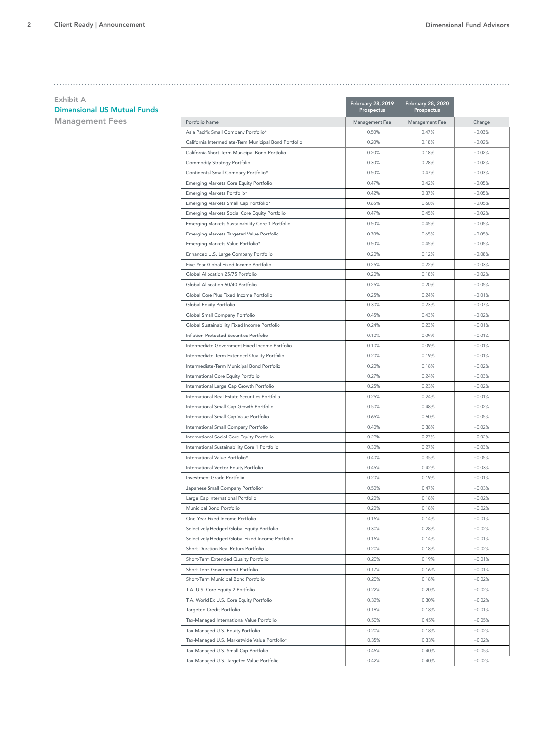| Exhibit A                          |                                                       | <b>February 28, 2019</b> | <b>February 28, 2020</b> |          |
|------------------------------------|-------------------------------------------------------|--------------------------|--------------------------|----------|
| <b>Dimensional US Mutual Funds</b> |                                                       | Prospectus               | Prospectus               |          |
| <b>Management Fees</b>             | Portfolio Name                                        | Management Fee           | Management Fee           | Change   |
|                                    | Asia Pacific Small Company Portfolio*                 | 0.50%                    | 0.47%                    | $-0.03%$ |
|                                    | California Intermediate-Term Municipal Bond Portfolio | 0.20%                    | 0.18%                    | $-0.02%$ |
|                                    | California Short-Term Municipal Bond Portfolio        | 0.20%                    | 0.18%                    | $-0.02%$ |
|                                    | Commodity Strategy Portfolio                          | 0.30%                    | 0.28%                    | $-0.02%$ |
|                                    | Continental Small Company Portfolio*                  | 0.50%                    | 0.47%                    | $-0.03%$ |
|                                    | Emerging Markets Core Equity Portfolio                | 0.47%                    | 0.42%                    | $-0.05%$ |
|                                    | Emerging Markets Portfolio*                           | 0.42%                    | 0.37%                    | $-0.05%$ |
|                                    | Emerging Markets Small Cap Portfolio*                 | 0.65%                    | 0.60%                    | $-0.05%$ |
|                                    | Emerging Markets Social Core Equity Portfolio         | 0.47%                    | 0.45%                    | $-0.02%$ |
|                                    | Emerging Markets Sustainability Core 1 Portfolio      | 0.50%                    | 0.45%                    | $-0.05%$ |
|                                    | Emerging Markets Targeted Value Portfolio             | 0.70%                    | 0.65%                    | $-0.05%$ |
|                                    | Emerging Markets Value Portfolio*                     | 0.50%                    | 0.45%                    | $-0.05%$ |
|                                    | Enhanced U.S. Large Company Portfolio                 | 0.20%                    | 0.12%                    | $-0.08%$ |
|                                    | Five-Year Global Fixed Income Portfolio               | 0.25%                    | 0.22%                    | $-0.03%$ |
|                                    | Global Allocation 25/75 Portfolio                     | 0.20%                    | 0.18%                    | $-0.02%$ |
|                                    | Global Allocation 60/40 Portfolio                     | 0.25%                    | 0.20%                    | $-0.05%$ |
|                                    | Global Core Plus Fixed Income Portfolio               | 0.25%                    | 0.24%                    | $-0.01%$ |
|                                    | Global Equity Portfolio                               | 0.30%                    | 0.23%                    | $-0.07%$ |
|                                    | Global Small Company Portfolio                        | 0.45%                    | 0.43%                    | $-0.02%$ |
|                                    | Global Sustainability Fixed Income Portfolio          | 0.24%                    | 0.23%                    | $-0.01%$ |
|                                    | Inflation-Protected Securities Portfolio              | 0.10%                    | 0.09%                    | $-0.01%$ |
|                                    | Intermediate Government Fixed Income Portfolio        | 0.10%                    | 0.09%                    | $-0.01%$ |
|                                    | Intermediate-Term Extended Quality Portfolio          | 0.20%                    | 0.19%                    | $-0.01%$ |
|                                    | Intermediate-Term Municipal Bond Portfolio            | 0.20%                    | 0.18%                    | $-0.02%$ |
|                                    | International Core Equity Portfolio                   | 0.27%                    | 0.24%                    | $-0.03%$ |
|                                    | International Large Cap Growth Portfolio              | 0.25%                    | 0.23%                    | $-0.02%$ |
|                                    | International Real Estate Securities Portfolio        | 0.25%                    | 0.24%                    | $-0.01%$ |
|                                    | International Small Cap Growth Portfolio              | 0.50%                    | 0.48%                    | $-0.02%$ |
|                                    | International Small Cap Value Portfolio               | 0.65%                    | 0.60%                    | $-0.05%$ |
|                                    | International Small Company Portfolio                 | 0.40%                    | 0.38%                    | $-0.02%$ |
|                                    | International Social Core Equity Portfolio            | 0.29%                    | 0.27%                    | $-0.02%$ |
|                                    | International Sustainability Core 1 Portfolio         | 0.30%                    | 0.27%                    | $-0.03%$ |
|                                    | International Value Portfolio*                        | 0.40%                    | 0.35%                    | $-0.05%$ |
|                                    | International Vector Equity Portfolio                 | 0.45%                    | 0.42%                    | $-0.03%$ |
|                                    | Investment Grade Portfolio                            | 0.20%                    | 0.19%                    | $-0.01%$ |
|                                    | Japanese Small Company Portfolio*                     | 0.50%                    | 0.47%                    | $-0.03%$ |
|                                    | Large Cap International Portfolio                     | 0.20%                    | 0.18%                    | $-0.02%$ |
|                                    | Municipal Bond Portfolio                              | 0.20%                    | 0.18%                    | $-0.02%$ |
|                                    | One-Year Fixed Income Portfolio                       | 0.15%                    | 0.14%                    | $-0.01%$ |
|                                    | Selectively Hedged Global Equity Portfolio            | 0.30%                    | 0.28%                    | $-0.02%$ |
|                                    | Selectively Hedged Global Fixed Income Portfolio      | 0.15%                    | 0.14%                    | $-0.01%$ |
|                                    | Short-Duration Real Return Portfolio                  | 0.20%                    | 0.18%                    | $-0.02%$ |
|                                    | Short-Term Extended Quality Portfolio                 | 0.20%                    | 0.19%                    | $-0.01%$ |
|                                    | Short-Term Government Portfolio                       | 0.17%                    | 0.16%                    | $-0.01%$ |
|                                    | Short-Term Municipal Bond Portfolio                   | 0.20%                    | 0.18%                    | $-0.02%$ |
|                                    | T.A. U.S. Core Equity 2 Portfolio                     | 0.22%                    | 0.20%                    | $-0.02%$ |
|                                    | T.A. World Ex U.S. Core Equity Portfolio              | 0.32%                    | 0.30%                    | $-0.02%$ |
|                                    | Targeted Credit Portfolio                             | 0.19%                    | 0.18%                    | $-0.01%$ |
|                                    | Tax-Managed International Value Portfolio             | 0.50%                    | 0.45%                    | $-0.05%$ |
|                                    | Tax-Managed U.S. Equity Portfolio                     | 0.20%                    | 0.18%                    | $-0.02%$ |
|                                    | Tax-Managed U.S. Marketwide Value Portfolio*          | 0.35%                    | 0.33%                    | $-0.02%$ |
|                                    | Tax-Managed U.S. Small Cap Portfolio                  | 0.45%                    | 0.40%                    | $-0.05%$ |
|                                    | Tax-Managed U.S. Targeted Value Portfolio             | 0.42%                    | 0.40%                    | $-0.02%$ |
|                                    |                                                       |                          |                          |          |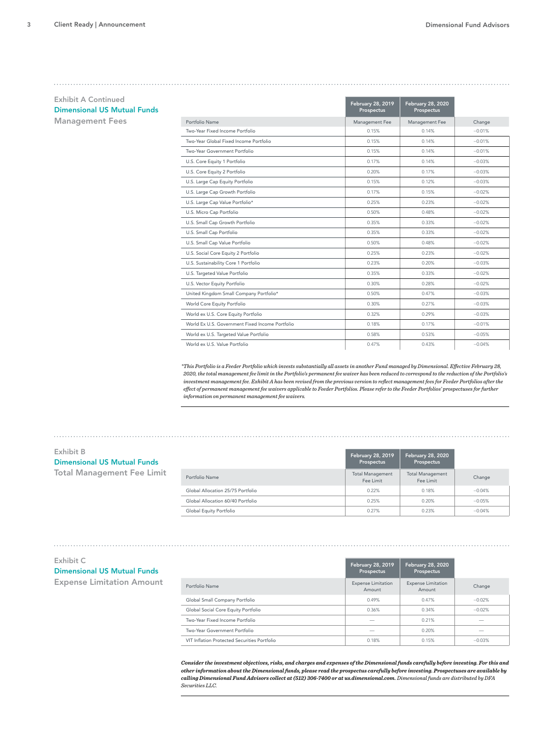| <b>Exhibit A Continued</b>                                                                  |                                                                                                                                                                                                 |                                        |                                        |                          |
|---------------------------------------------------------------------------------------------|-------------------------------------------------------------------------------------------------------------------------------------------------------------------------------------------------|----------------------------------------|----------------------------------------|--------------------------|
| <b>Dimensional US Mutual Funds</b>                                                          |                                                                                                                                                                                                 | <b>February 28, 2019</b><br>Prospectus | <b>February 28, 2020</b><br>Prospectus |                          |
| <b>Management Fees</b>                                                                      | Portfolio Name                                                                                                                                                                                  | Management Fee                         | Management Fee                         | Change                   |
|                                                                                             | Two-Year Fixed Income Portfolio                                                                                                                                                                 | 0.15%                                  | 0.14%                                  | $-0.01%$                 |
|                                                                                             | Two-Year Global Fixed Income Portfolio                                                                                                                                                          | 0.15%                                  | 0.14%                                  | $-0.01%$                 |
|                                                                                             | Two-Year Government Portfolio                                                                                                                                                                   | 0.15%                                  | 0.14%                                  | $-0.01%$                 |
|                                                                                             | U.S. Core Equity 1 Portfolio                                                                                                                                                                    | 0.17%                                  | 0.14%                                  | $-0.03%$                 |
|                                                                                             | U.S. Core Equity 2 Portfolio                                                                                                                                                                    | 0.20%                                  | 0.17%                                  | $-0.03%$                 |
|                                                                                             | U.S. Large Cap Equity Portfolio                                                                                                                                                                 | 0.15%                                  | 0.12%                                  | $-0.03%$                 |
|                                                                                             | U.S. Large Cap Growth Portfolio                                                                                                                                                                 | 0.17%                                  | 0.15%                                  | $-0.02%$                 |
|                                                                                             | U.S. Large Cap Value Portfolio*                                                                                                                                                                 | 0.25%                                  | 0.23%                                  | $-0.02%$                 |
|                                                                                             | U.S. Micro Cap Portfolio                                                                                                                                                                        | 0.50%                                  | 0.48%                                  | $-0.02%$                 |
|                                                                                             | U.S. Small Cap Growth Portfolio                                                                                                                                                                 | 0.35%                                  | 0.33%                                  | $-0.02%$                 |
|                                                                                             | U.S. Small Cap Portfolio                                                                                                                                                                        | 0.35%                                  | 0.33%                                  | $-0.02%$                 |
|                                                                                             | U.S. Small Cap Value Portfolio                                                                                                                                                                  | 0.50%                                  | 0.48%                                  | $-0.02%$                 |
|                                                                                             | U.S. Social Core Equity 2 Portfolio                                                                                                                                                             | 0.25%                                  | 0.23%                                  | $-0.02%$                 |
|                                                                                             | U.S. Sustainability Core 1 Portfolio                                                                                                                                                            | 0.23%                                  | 0.20%                                  | $-0.03%$                 |
|                                                                                             | U.S. Targeted Value Portfolio                                                                                                                                                                   | 0.35%                                  | 0.33%                                  | $-0.02%$                 |
|                                                                                             | U.S. Vector Equity Portfolio                                                                                                                                                                    | 0.30%                                  | 0.28%                                  | $-0.02%$                 |
|                                                                                             | United Kingdom Small Company Portfolio*                                                                                                                                                         | 0.50%                                  | 0.47%                                  | $-0.03%$                 |
|                                                                                             | World Core Equity Portfolio                                                                                                                                                                     | 0.30%                                  | 0.27%                                  | $-0.03%$                 |
|                                                                                             | World ex U.S. Core Equity Portfolio                                                                                                                                                             | 0.32%                                  | 0.29%                                  | $-0.03%$                 |
|                                                                                             | World Ex U.S. Government Fixed Income Portfolio                                                                                                                                                 | 0.18%                                  | 0.17%                                  | $-0.01%$                 |
|                                                                                             | World ex U.S. Targeted Value Portfolio                                                                                                                                                          | 0.58%                                  | 0.53%                                  | $-0.05%$                 |
|                                                                                             | World ex U.S. Value Portfolio                                                                                                                                                                   | 0.47%                                  | 0.43%                                  | $-0.04%$                 |
|                                                                                             | effect of permanent management fee waivers applicable to Feeder Portfolios. Please refer to the Feeder Portfolios' prospectuses for further<br>information on permanent management fee waivers. |                                        |                                        |                          |
|                                                                                             |                                                                                                                                                                                                 |                                        |                                        |                          |
|                                                                                             |                                                                                                                                                                                                 |                                        |                                        |                          |
| <b>Exhibit B</b><br><b>Dimensional US Mutual Funds</b><br><b>Total Management Fee Limit</b> |                                                                                                                                                                                                 | February 28, 2019<br>Prospectus        | <b>February 28, 2020</b><br>Prospectus |                          |
|                                                                                             | Portfolio Name                                                                                                                                                                                  | <b>Total Management</b><br>Fee Limit   | <b>Total Management</b><br>Fee Limit   | Change                   |
|                                                                                             | Global Allocation 25/75 Portfolio                                                                                                                                                               | 0.22%                                  | 0.18%                                  | $-0.04%$                 |
|                                                                                             | Global Allocation 60/40 Portfolio                                                                                                                                                               | 0.25%                                  | 0.20%                                  | $-0.05%$                 |
|                                                                                             | Global Equity Portfolio                                                                                                                                                                         | 0.27%                                  | 0.23%                                  | $-0.04%$                 |
|                                                                                             |                                                                                                                                                                                                 |                                        |                                        |                          |
| Exhibit C<br><b>Dimensional US Mutual Funds</b>                                             |                                                                                                                                                                                                 | <b>February 28, 2019</b><br>Prospectus | <b>February 28, 2020</b><br>Prospectus |                          |
| <b>Expense Limitation Amount</b>                                                            | Portfolio Name                                                                                                                                                                                  | <b>Expense Limitation</b><br>Amount    | <b>Expense Limitation</b><br>Amount    | Change                   |
|                                                                                             | Global Small Company Portfolio                                                                                                                                                                  | 0.49%                                  | 0.47%                                  | $-0.02%$                 |
|                                                                                             | Global Social Core Equity Portfolio                                                                                                                                                             | 0.36%                                  | 0.34%                                  | $-0.02%$                 |
|                                                                                             | Two-Year Fixed Income Portfolio                                                                                                                                                                 |                                        | 0.21%                                  |                          |
|                                                                                             | Two-Year Government Portfolio                                                                                                                                                                   | -                                      | 0.20%                                  | $\overline{\phantom{0}}$ |
|                                                                                             | VIT Inflation Protected Securities Portfolio                                                                                                                                                    | 0.18%                                  | 0.15%                                  | $-0.03%$                 |

### Exhibit B Dimensional US Mutual Funds Total Management Fee Limit

|                                   | February 28, 2019<br>Prospectus      | <b>February 28, 2020</b><br>Prospectus |          |
|-----------------------------------|--------------------------------------|----------------------------------------|----------|
| Portfolio Name                    | <b>Total Management</b><br>Fee Limit | <b>Total Management</b><br>Fee Limit   | Change   |
| Global Allocation 25/75 Portfolio | 0.22%                                | 0.18%                                  | $-0.04%$ |
| Global Allocation 60/40 Portfolio | 0.25%                                | 0.20%                                  | $-0.05%$ |
| Global Equity Portfolio           | 0.27%                                | 0.23%                                  | $-0.04%$ |

#### Exhibit C

### Dimensional US Mutual Funds

|                                              | <b>February 28, 2019</b><br>Prospectus | February 28, 2020<br>Prospectus     |          |
|----------------------------------------------|----------------------------------------|-------------------------------------|----------|
| Portfolio Name                               | <b>Expense Limitation</b><br>Amount    | <b>Expense Limitation</b><br>Amount | Change   |
| Global Small Company Portfolio               | 0.49%                                  | 0.47%                               | $-0.02%$ |
| Global Social Core Equity Portfolio          | 0.36%                                  | 0.34%                               | $-0.02%$ |
| Two-Year Fixed Income Portfolio              |                                        | 0.21%                               |          |
| Two-Year Government Portfolio                |                                        | 0.20%                               | _        |
| VIT Inflation Protected Securities Portfolio | 0.18%                                  | 0.15%                               | $-0.03%$ |

Tax-Managed U.S. Targeted Value Portfolio 0.42% 0.40% −0.02% *Consider the investment objectives, risks, and charges and expenses of the Dimensional funds carefully before investing. For this and*  Two-Year Fixed Income Portfolio 0.15% 0.14% −0.01% *other information about the Dimensional funds, please read the prospectus carefully before investing. Prospectuses are available by*  Two-Year Global Fixed Income Portfolio 0.15% 0.14% −0.01% *calling Dimensional Fund Advisors collect at (512) 306-7400 or at us.dimensional.com. Dimensional funds are distributed by DFA Securities LLC.*